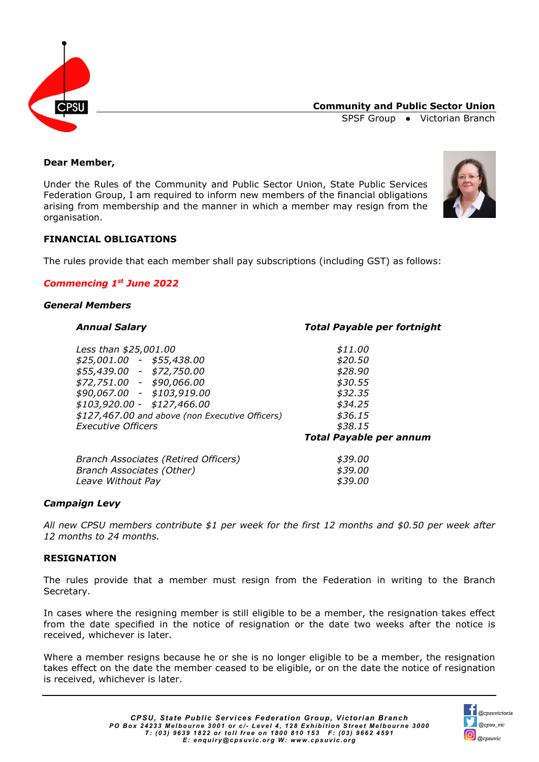

**Community and Public Sector Union**

SPSF Group ● Victorian Branch

## **Dear Member,**

Under the Rules of the Community and Public Sector Union, State Public Services Federation Group, I am required to inform new members of the financial obligations arising from membership and the manner in which a member may resign from the organisation.



## **FINANCIAL OBLIGATIONS**

The rules provide that each member shall pay subscriptions (including GST) as follows:

## *Commencing 1st June 2022*

#### *General Members*

*Less than \$25,001.00 \$11.00 \$25,001.00 - \$55,438.00 \$20.50 \$55,439.00 - \$72,750.00 \$28.90 \$72,751.00 - \$90,066.00 \$30.55 \$90,067.00 - \$103,919.00 \$32.35 \$103,920.00 - \$127,466.00 \$34.25 \$127,467.00 and above (non Executive Officers) \$36.15 Executive Officers \$38.15*

## *Annual Salary Total Payable per fortnight*

*Total Payable per annum*

| Branch Associates (Retired Officers) | \$39.00 |
|--------------------------------------|---------|
| Branch Associates (Other)            | \$39.00 |
| Leave Without Pay                    | \$39.00 |

## *Campaign Levy*

*All new CPSU members contribute \$1 per week for the first 12 months and \$0.50 per week after 12 months to 24 months.*

## **RESIGNATION**

The rules provide that a member must resign from the Federation in writing to the Branch Secretary.

In cases where the resigning member is still eligible to be a member, the resignation takes effect from the date specified in the notice of resignation or the date two weeks after the notice is received, whichever is later.

Where a member resigns because he or she is no longer eligible to be a member, the resignation takes effect on the date the member ceased to be eligible, or on the date the notice of resignation is received, whichever is later.